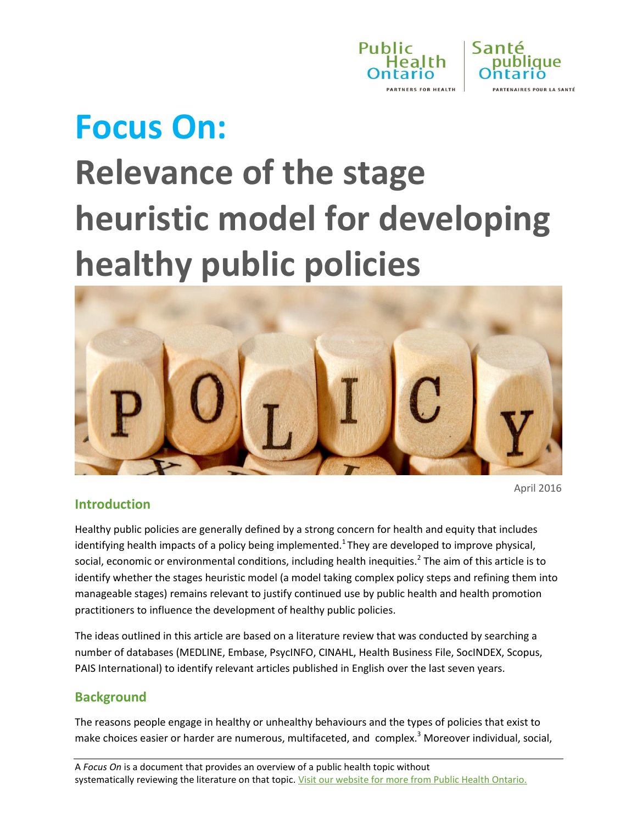



# **Focus On:**

# **Relevance of the stage heuristic model for developing healthy public policies**



April 2016

### **Introduction**

Healthy public policies are generally defined by a strong concern for health and equity that includes identifying health impacts of a policy being implemented.<sup>1</sup> They are developed to improve physical, social, economic or environmental conditions, including health inequities.<sup>2</sup> The aim of this article is to identify whether the stages heuristic model (a model taking complex policy steps and refining them into manageable stages) remains relevant to justify continued use by public health and health promotion practitioners to influence the development of healthy public policies.

The ideas outlined in this article are based on a literature review that was conducted by searching a number of databases (MEDLINE, Embase, PsycINFO, CINAHL, Health Business File, SocINDEX, Scopus, PAIS International) to identify relevant articles published in English over the last seven years.

### **Background**

The reasons people engage in healthy or unhealthy behaviours and the types of policies that exist to make choices easier or harder are numerous, multifaceted, and complex. <sup>3</sup> Moreover individual, social,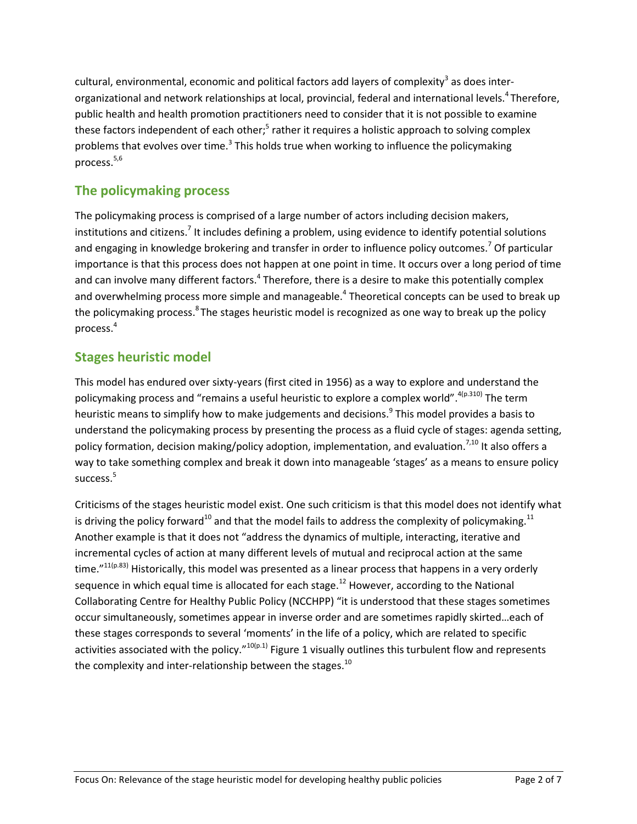cultural, environmental, economic and political factors add layers of complexity<sup>3</sup> as does interorganizational and network relationships at local, provincial, federal and international levels.<sup>4</sup>Therefore, public health and health promotion practitioners need to consider that it is not possible to examine these factors independent of each other;<sup>5</sup> rather it requires a holistic approach to solving complex problems that evolves over time.<sup>3</sup> This holds true when working to influence the policymaking process. 5,6

# **The policymaking process**

The policymaking process is comprised of a large number of actors including decision makers, institutions and citizens.<sup>7</sup> It includes defining a problem, using evidence to identify potential solutions and engaging in knowledge brokering and transfer in order to influence policy outcomes.<sup>7</sup> Of particular importance is that this process does not happen at one point in time. It occurs over a long period of time and can involve many different factors.<sup>4</sup> Therefore, there is a desire to make this potentially complex and overwhelming process more simple and manageable.<sup>4</sup> Theoretical concepts can be used to break up the policymaking process.<sup>8</sup> The stages heuristic model is recognized as one way to break up the policy process.<sup>4</sup>

# **Stages heuristic model**

This model has endured over sixty-years (first cited in 1956) as a way to explore and understand the policymaking process and "remains a useful heuristic to explore a complex world". <sup>4(p.310)</sup> The term heuristic means to simplify how to make judgements and decisions.<sup>9</sup> This model provides a basis to understand the policymaking process by presenting the process as a fluid cycle of stages: agenda setting, policy formation, decision making/policy adoption, implementation, and evaluation.<sup>7,10</sup> It also offers a way to take something complex and break it down into manageable 'stages' as a means to ensure policy success.<sup>5</sup>

Criticisms of the stages heuristic model exist. One such criticism is that this model does not identify what is driving the policy forward<sup>10</sup> and that the model fails to address the complexity of policymaking.<sup>11</sup> Another example is that it does not "address the dynamics of multiple, interacting, iterative and incremental cycles of action at many different levels of mutual and reciprocal action at the same time."<sup>11(p.83)</sup> Historically, this model was presented as a linear process that happens in a very orderly sequence in which equal time is allocated for each stage.<sup>12</sup> However, according to the National Collaborating Centre for Healthy Public Policy (NCCHPP) "it is understood that these stages sometimes occur simultaneously, sometimes appear in inverse order and are sometimes rapidly skirted…each of these stages corresponds to several 'moments' in the life of a policy, which are related to specific activities associated with the policy."<sup>10(p.1)</sup> Figure 1 visually outlines this turbulent flow and represents the complexity and inter-relationship between the stages. $^{10}$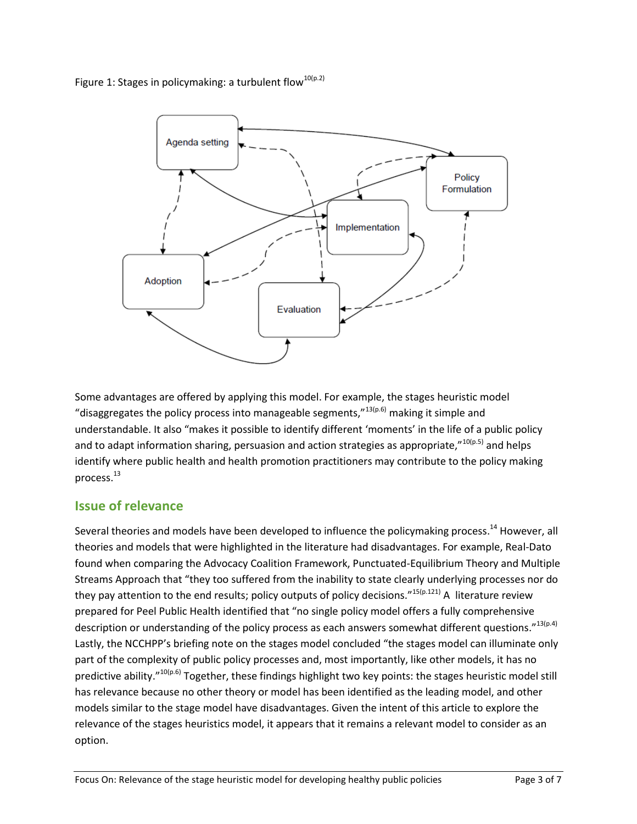Figure 1: Stages in policymaking: a turbulent flow<sup>10(p.2)</sup>



Some advantages are offered by applying this model. For example, the stages heuristic model "disaggregates the policy process into manageable segments,"  $13(p.6)$  making it simple and understandable. It also "makes it possible to identify different 'moments' in the life of a public policy and to adapt information sharing, persuasion and action strategies as appropriate,"<sup>10(p.5)</sup> and helps identify where public health and health promotion practitioners may contribute to the policy making process.<sup>13</sup>

# **Issue of relevance**

Several theories and models have been developed to influence the policymaking process.<sup>14</sup> However, all theories and models that were highlighted in the literature had disadvantages. For example, Real-Dato found when comparing the Advocacy Coalition Framework, Punctuated-Equilibrium Theory and Multiple Streams Approach that "they too suffered from the inability to state clearly underlying processes nor do they pay attention to the end results; policy outputs of policy decisions."<sup>15(p.121)</sup> A literature review prepared for Peel Public Health identified that "no single policy model offers a fully comprehensive description or understanding of the policy process as each answers somewhat different questions."13(p.4) Lastly, the NCCHPP's briefing note on the stages model concluded "the stages model can illuminate only part of the complexity of public policy processes and, most importantly, like other models, it has no predictive ability."<sup>10(p.6)</sup> Together, these findings highlight two key points: the stages heuristic model still has relevance because no other theory or model has been identified as the leading model, and other models similar to the stage model have disadvantages. Given the intent of this article to explore the relevance of the stages heuristics model, it appears that it remains a relevant model to consider as an option.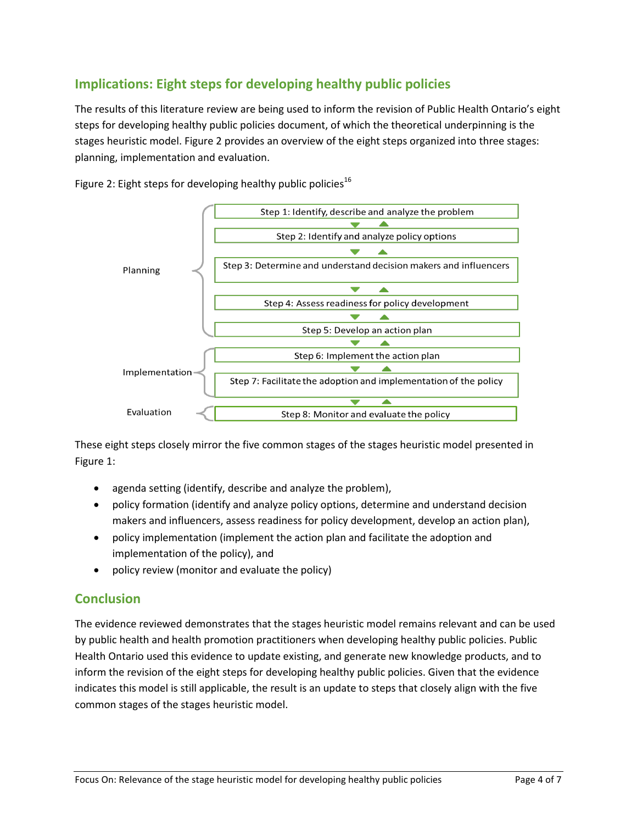# **Implications: Eight steps for developing healthy public policies**

The results of this literature review are being used to inform the revision of Public Health Ontario's eight steps for developing healthy public policies document, of which the theoretical underpinning is the stages heuristic model. Figure 2 provides an overview of the eight steps organized into three stages: planning, implementation and evaluation.



Figure 2: Eight steps for developing healthy public policies<sup>16</sup>

These eight steps closely mirror the five common stages of the stages heuristic model presented in Figure 1:

- agenda setting (identify, describe and analyze the problem),
- policy formation (identify and analyze policy options, determine and understand decision makers and influencers, assess readiness for policy development, develop an action plan),
- policy implementation (implement the action plan and facilitate the adoption and implementation of the policy), and
- policy review (monitor and evaluate the policy)

# **Conclusion**

The evidence reviewed demonstrates that the stages heuristic model remains relevant and can be used by public health and health promotion practitioners when developing healthy public policies. Public Health Ontario used this evidence to update existing, and generate new knowledge products, and to inform the revision of the eight steps for developing healthy public policies. Given that the evidence indicates this model is still applicable, the result is an update to steps that closely align with the five common stages of the stages heuristic model.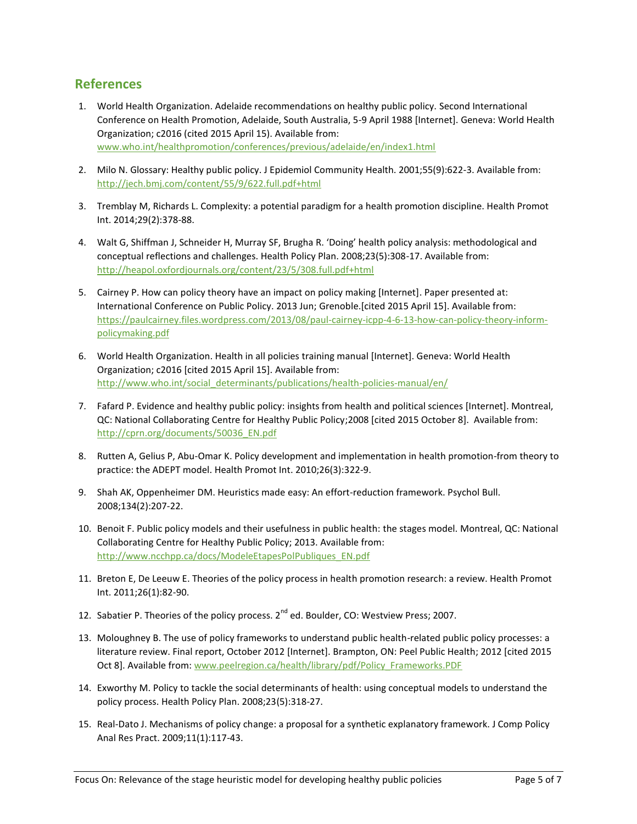#### **References**

- 1. World Health Organization. Adelaide recommendations on healthy public policy. Second International Conference on Health Promotion, Adelaide, South Australia, 5-9 April 1988 [Internet]. Geneva: World Health Organization; c2016 (cited 2015 April 15). Available from: [www.who.int/healthpromotion/conferences/previous/adelaide/en/index1.html](http://www.who.int/healthpromotion/conferences/previous/adelaide/en/index1.html)
- 2. Milo N. Glossary: Healthy public policy. J Epidemiol Community Health. 2001;55(9):622-3. Available from: <http://jech.bmj.com/content/55/9/622.full.pdf+html>
- 3. Tremblay M, Richards L. Complexity: a potential paradigm for a health promotion discipline. Health Promot Int. 2014;29(2):378-88.
- 4. Walt G, Shiffman J, Schneider H, Murray SF, Brugha R. 'Doing' health policy analysis: methodological and conceptual reflections and challenges. Health Policy Plan. 2008;23(5):308-17. Available from: <http://heapol.oxfordjournals.org/content/23/5/308.full.pdf+html>
- 5. Cairney P. How can policy theory have an impact on policy making [Internet]. Paper presented at: International Conference on Public Policy. 2013 Jun; Grenoble.[cited 2015 April 15]. Available from: [https://paulcairney.files.wordpress.com/2013/08/paul-cairney-icpp-4-6-13-how-can-policy-theory-inform](https://paulcairney.files.wordpress.com/2013/08/paul-cairney-icpp-4-6-13-how-can-policy-theory-inform-policymaking.pdf)[policymaking.pdf](https://paulcairney.files.wordpress.com/2013/08/paul-cairney-icpp-4-6-13-how-can-policy-theory-inform-policymaking.pdf)
- 6. World Health Organization. Health in all policies training manual [Internet]. Geneva: World Health Organization; c2016 [cited 2015 April 15]. Available from: [http://www.who.int/social\\_determinants/publications/health-policies-manual/en/](http://www.who.int/social_determinants/publications/health-policies-manual/en/)
- 7. Fafard P. Evidence and healthy public policy: insights from health and political sciences [Internet]. Montreal, QC: National Collaborating Centre for Healthy Public Policy;2008 [cited 2015 October 8]. Available from: [http://cprn.org/documents/50036\\_EN.pdf](http://cprn.org/documents/50036_EN.pdf)
- 8. Rutten A, Gelius P, Abu-Omar K. Policy development and implementation in health promotion-from theory to practice: the ADEPT model. Health Promot Int. 2010;26(3):322-9.
- 9. Shah AK, Oppenheimer DM. Heuristics made easy: An effort-reduction framework. Psychol Bull. 2008;134(2):207-22.
- 10. Benoit F. Public policy models and their usefulness in public health: the stages model. Montreal, QC: National Collaborating Centre for Healthy Public Policy; 2013. Available from: [http://www.ncchpp.ca/docs/ModeleEtapesPolPubliques\\_EN.pdf](http://www.ncchpp.ca/docs/ModeleEtapesPolPubliques_EN.pdf)
- 11. Breton E, De Leeuw E. Theories of the policy process in health promotion research: a review. Health Promot Int. 2011;26(1):82-90.
- 12. Sabatier P. Theories of the policy process.  $2^{nd}$  ed. Boulder, CO: Westview Press; 2007.
- 13. Moloughney B. The use of policy frameworks to understand public health-related public policy processes: a literature review. Final report, October 2012 [Internet]. Brampton, ON: Peel Public Health; 2012 [cited 2015 Oct 8]. Available from: [www.peelregion.ca/health/library/pdf/Policy\\_Frameworks.PDF](http://www.peelregion.ca/health/library/pdf/Policy_Frameworks.PDF)
- 14. Exworthy M. Policy to tackle the social determinants of health: using conceptual models to understand the policy process. Health Policy Plan. 2008;23(5):318-27.
- 15. Real-Dato J. Mechanisms of policy change: a proposal for a synthetic explanatory framework. J Comp Policy Anal Res Pract. 2009;11(1):117-43.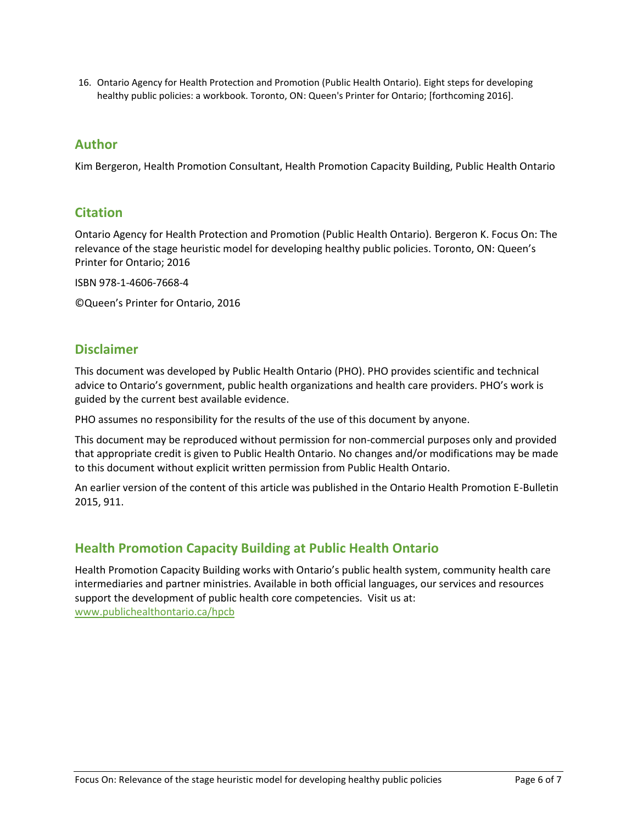16. Ontario Agency for Health Protection and Promotion (Public Health Ontario). Eight steps for developing healthy public policies: a workbook. Toronto, ON: Queen's Printer for Ontario; [forthcoming 2016].

#### **Author**

Kim Bergeron, Health Promotion Consultant, Health Promotion Capacity Building, Public Health Ontario

#### **Citation**

Ontario Agency for Health Protection and Promotion (Public Health Ontario). Bergeron K. Focus On: The relevance of the stage heuristic model for developing healthy public policies. Toronto, ON: Queen's Printer for Ontario; 2016

ISBN 978-1-4606-7668-4

©Queen's Printer for Ontario, 2016

### **Disclaimer**

This document was developed by Public Health Ontario (PHO). PHO provides scientific and technical advice to Ontario's government, public health organizations and health care providers. PHO's work is guided by the current best available evidence.

PHO assumes no responsibility for the results of the use of this document by anyone.

This document may be reproduced without permission for non-commercial purposes only and provided that appropriate credit is given to Public Health Ontario. No changes and/or modifications may be made to this document without explicit written permission from Public Health Ontario.

An earlier version of the content of this article was published in the Ontario Health Promotion E-Bulletin 2015, 911.

### **Health Promotion Capacity Building at Public Health Ontario**

Health Promotion Capacity Building works with Ontario's public health system, community health care intermediaries and partner ministries. Available in both official languages, our services and resources support the development of public health core competencies. Visit us at: [www.publichealthontario.ca/hpcb](http://www.publichealthontario.ca/hpcb)